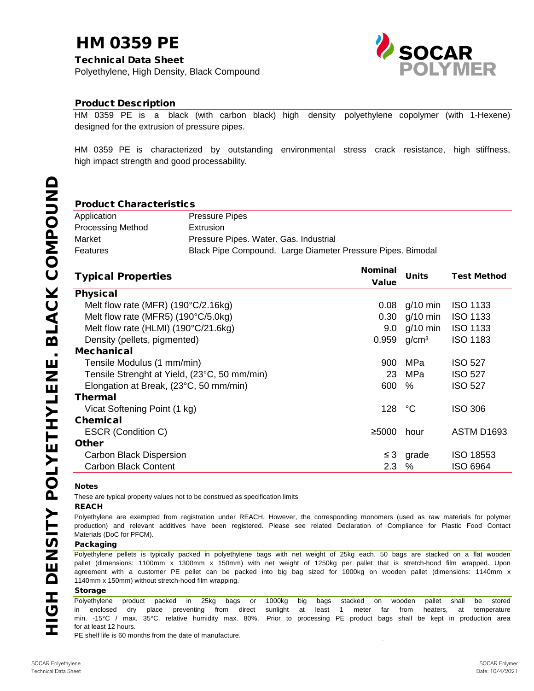#### Packaging

These are typical property values not to be construed as specification limits

#### REACH

Polyethylene pellets is typically packed in polyethylene bags with net weight of 25kg each. 50 bags are stacked on a flat wooden pallet (dimensions: 1100mm x 1300mm x 150mm) with net weight of 1250kg per pallet that is stretch-hood film wrapped. Upon agreement with a customer PE pellet can be packed into big bag sized for 1000kg on wooden pallet (dimensions: 1140mm x 1140mm x 150mm) without stretch-hood film wrapping.

PE shelf life is 60 months from the date of manufacture.

#### Storage

**NHO HOIH** 

for at least 12 hours. Polyethylene product packed in 25kg bags or 1000kg big bags stacked on wooden pallet shall be stored in enclosed dry place preventing from direct sunlight at least 1 meter far from heaters, at temperature min. -15°C / max. 35°C, relative humidity max. 80%. Prior to processing PE product bags shall be kept in production area

| Application              | <b>Pressure Pipes</b>                                       |
|--------------------------|-------------------------------------------------------------|
| <b>Processing Method</b> | Extrusion                                                   |
| Market                   | Pressure Pipes. Water. Gas. Industrial                      |
| <b>Features</b>          | Black Pipe Compound. Large Diameter Pressure Pipes. Bimodal |

| <b>Typical Properties</b>                    | <b>Nominal</b>    | <b>Units</b>      | <b>Test Method</b> |
|----------------------------------------------|-------------------|-------------------|--------------------|
|                                              | <b>Value</b>      |                   |                    |
| <b>Physical</b>                              |                   |                   |                    |
| Melt flow rate (MFR) $(190^{\circ}C/2.16kg)$ | 0.08              | $g/10$ min        | <b>ISO 1133</b>    |
| Melt flow rate (MFR5) (190°C/5.0kg)          | 0.30 <sub>1</sub> | $q/10$ min        | <b>ISO 1133</b>    |
| Melt flow rate (HLMI) (190°C/21.6kg)         | 9.0               | $q/10$ min        | <b>ISO 1133</b>    |
| Density (pellets, pigmented)                 | 0.959             | g/cm <sup>3</sup> | <b>ISO 1183</b>    |
| <b>Mechanical</b>                            |                   |                   |                    |
| Tensile Modulus (1 mm/min)                   | 900               | <b>MPa</b>        | <b>ISO 527</b>     |
| Tensile Strenght at Yield, (23°C, 50 mm/min) | 23                | MPa               | <b>ISO 527</b>     |
| Elongation at Break, (23°C, 50 mm/min)       | 600               | $\%$              | <b>ISO 527</b>     |
| Thermal                                      |                   |                   |                    |
| Vicat Softening Point (1 kg)                 | 128               | °C                | <b>ISO 306</b>     |
| <b>Chemical</b>                              |                   |                   |                    |
| <b>ESCR (Condition C)</b>                    | ≥5000             | hour              | <b>ASTM D1693</b>  |
| <b>Other</b>                                 |                   |                   |                    |
| <b>Carbon Black Dispersion</b>               |                   | grade             | <b>ISO 18553</b>   |
| <b>Carbon Black Content</b>                  | 2.3               | $\%$              | <b>ISO 6964</b>    |

#### **Notes**

Polyethylene are exempted from registration under REACH. However, the corresponding monomers (used as raw materials for polymer production) and relevant additives have been registered. Please see related Declaration of Compliance for Plastic Food Contact Materials (DoC for PFCM).

# HM 0359 PE

Technical Data Sheet Polyethylene, High Density, Black Compound



#### Product Description

HM 0359 PE is a black (with carbon black) high density polyethylene copolymer (with 1-Hexene) designed for the extrusion of pressure pipes.

HM 0359 PE is characterized by outstanding environmental stress crack resistance, high stiffness, high impact strength and good processability.

### Product Characteristics

SOCAR Polyethylene Technical Data Sheet

SOCAR Polymer Date: 10/4/2021